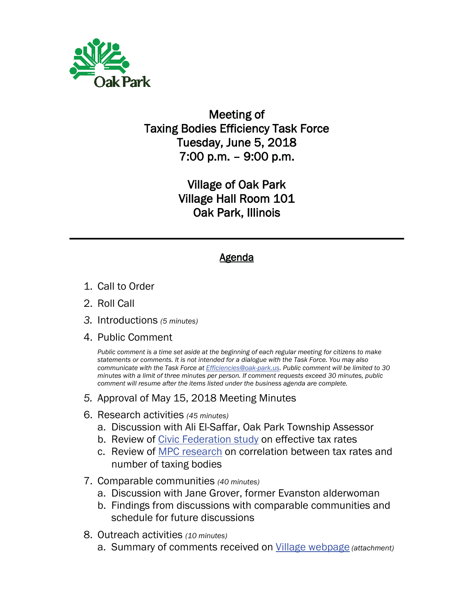

## Meeting of Taxing Bodies Efficiency Task Force Tuesday, June 5, 2018 7:00 p.m. – 9:00 p.m.

Village of Oak Park Village Hall Room 101 Oak Park, Illinois

## Agenda

- 1. Call to Order
- 2. Roll Call
- *3.* Introductions *(5 minutes)*
- 4. Public Comment

*Public comment is a time set aside at the beginning of each regular meeting for citizens to make statements or comments. It is not intended for a dialogue with the Task Force. You may also communicate with the Task Force at Efficiencies@oak-park.us. Public comment will be limited to 30 minutes with a limit of three minutes per person. If comment requests exceed 30 minutes, public comment will resume after the items listed under the business agenda are complete.*

- *5.* Approval of May 15, 2018 Meeting Minutes
- 6. Research activities *(45 minutes)*
	- a. Discussion with Ali El-Saffar, Oak Park Township Assessor
	- b. Review of Civic Federation study on effective tax rates
	- c. Review of MPC research on correlation between tax rates and number of taxing bodies
- 7. Comparable communities *(40 minutes)*
	- a. Discussion with Jane Grover, former Evanston alderwoman
	- b. Findings from discussions with comparable communities and schedule for future discussions
- 8. Outreach activities *(10 minutes)*
	- a. Summary of comments received on Village webpage *(attachment)*